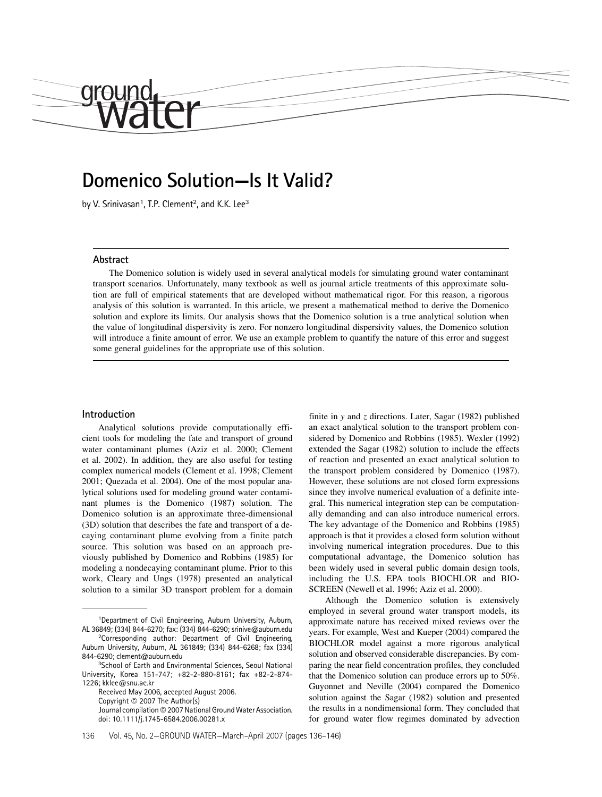# Domenico Solution—Is It Valid?

by V. Srinivasan<sup>1</sup>, T.P. Clement<sup>2</sup>, and K.K. Lee<sup>3</sup>

#### Abstract

drour

The Domenico solution is widely used in several analytical models for simulating ground water contaminant transport scenarios. Unfortunately, many textbook as well as journal article treatments of this approximate solution are full of empirical statements that are developed without mathematical rigor. For this reason, a rigorous analysis of this solution is warranted. In this article, we present a mathematical method to derive the Domenico solution and explore its limits. Our analysis shows that the Domenico solution is a true analytical solution when the value of longitudinal dispersivity is zero. For nonzero longitudinal dispersivity values, the Domenico solution will introduce a finite amount of error. We use an example problem to quantify the nature of this error and suggest some general guidelines for the appropriate use of this solution.

#### Introduction

Analytical solutions provide computationally efficient tools for modeling the fate and transport of ground water contaminant plumes (Aziz et al. 2000; Clement et al. 2002). In addition, they are also useful for testing complex numerical models (Clement et al. 1998; Clement 2001; Quezada et al. 2004). One of the most popular analytical solutions used for modeling ground water contaminant plumes is the Domenico (1987) solution. The Domenico solution is an approximate three-dimensional (3D) solution that describes the fate and transport of a decaying contaminant plume evolving from a finite patch source. This solution was based on an approach previously published by Domenico and Robbins (1985) for modeling a nondecaying contaminant plume. Prior to this work, Cleary and Ungs (1978) presented an analytical solution to a similar 3D transport problem for a domain

<sup>1</sup>Department of Civil Engineering, Auburn University, Auburn, AL 36849; (334) 844-6270; fax: (334) 844-6290; srinive@auburn.edu

Received May 2006, accepted August 2006. Copyright © 2007 The Author(s) Journal compilation © 2007 National Ground Water Association. doi: 10.1111/j.1745-6584.2006.00281.x

finite in y and z directions. Later, Sagar  $(1982)$  published an exact analytical solution to the transport problem considered by Domenico and Robbins (1985). Wexler (1992) extended the Sagar (1982) solution to include the effects of reaction and presented an exact analytical solution to the transport problem considered by Domenico (1987). However, these solutions are not closed form expressions since they involve numerical evaluation of a definite integral. This numerical integration step can be computationally demanding and can also introduce numerical errors. The key advantage of the Domenico and Robbins (1985) approach is that it provides a closed form solution without involving numerical integration procedures. Due to this computational advantage, the Domenico solution has been widely used in several public domain design tools, including the U.S. EPA tools BIOCHLOR and BIO-SCREEN (Newell et al. 1996; Aziz et al. 2000).

Although the Domenico solution is extensively employed in several ground water transport models, its approximate nature has received mixed reviews over the years. For example, West and Kueper (2004) compared the BIOCHLOR model against a more rigorous analytical solution and observed considerable discrepancies. By comparing the near field concentration profiles, they concluded that the Domenico solution can produce errors up to 50%. Guyonnet and Neville (2004) compared the Domenico solution against the Sagar (1982) solution and presented the results in a nondimensional form. They concluded that for ground water flow regimes dominated by advection

<sup>2</sup>Corresponding author: Department of Civil Engineering, Auburn University, Auburn, AL 361849; (334) 844-6268; fax (334) 844-6290; clement@auburn.edu

<sup>3</sup>School of Earth and Environmental Sciences, Seoul National University, Korea 151-747; +82-2-880-8161; fax +82-2-874- 1226; kklee@snu.ac.kr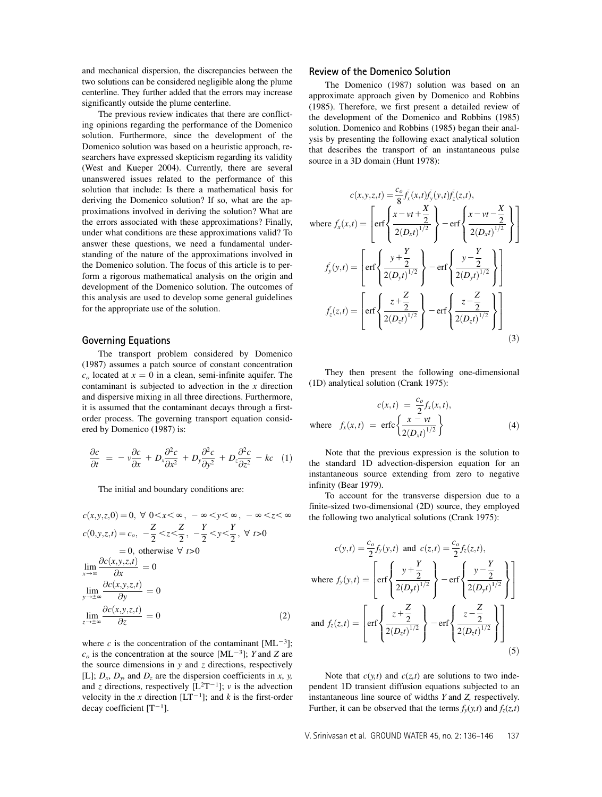and mechanical dispersion, the discrepancies between the two solutions can be considered negligible along the plume centerline. They further added that the errors may increase significantly outside the plume centerline.

The previous review indicates that there are conflicting opinions regarding the performance of the Domenico solution. Furthermore, since the development of the Domenico solution was based on a heuristic approach, researchers have expressed skepticism regarding its validity (West and Kueper 2004). Currently, there are several unanswered issues related to the performance of this solution that include: Is there a mathematical basis for deriving the Domenico solution? If so, what are the approximations involved in deriving the solution? What are the errors associated with these approximations? Finally, under what conditions are these approximations valid? To answer these questions, we need a fundamental understanding of the nature of the approximations involved in the Domenico solution. The focus of this article is to perform a rigorous mathematical analysis on the origin and development of the Domenico solution. The outcomes of this analysis are used to develop some general guidelines for the appropriate use of the solution.

## Governing Equations

The transport problem considered by Domenico (1987) assumes a patch source of constant concentration  $c<sub>o</sub>$  located at  $x = 0$  in a clean, semi-infinite aquifer. The contaminant is subjected to advection in the  $x$  direction and dispersive mixing in all three directions. Furthermore, it is assumed that the contaminant decays through a firstorder process. The governing transport equation considered by Domenico (1987) is:

$$
\frac{\partial c}{\partial t} = -v \frac{\partial c}{\partial x} + D_x \frac{\partial^2 c}{\partial x^2} + D_y \frac{\partial^2 c}{\partial y^2} + D_z \frac{\partial^2 c}{\partial z^2} - kc \quad (1)
$$

The initial and boundary conditions are:

$$
c(x, y, z, 0) = 0, \forall 0 < x < \infty, -\infty < y < \infty, -\infty < z < \infty
$$
  
\n
$$
c(0, y, z, t) = c_o, -\frac{Z}{2} < z < \frac{Z}{2}, -\frac{Y}{2} < y < \frac{Y}{2}, \forall t > 0
$$
  
\n
$$
= 0, \text{ otherwise } \forall t > 0
$$
  
\n
$$
\lim_{x \to \infty} \frac{\partial c(x, y, z, t)}{\partial x} = 0
$$
  
\n
$$
\lim_{y \to \pm \infty} \frac{\partial c(x, y, z, t)}{\partial y} = 0
$$
  
\n
$$
\lim_{z \to \pm \infty} \frac{\partial c(x, y, z, t)}{\partial z} = 0
$$
\n(2)

where c is the concentration of the contaminant  $[ML^{-3}]$ ;  $c<sub>o</sub>$  is the concentration at the source [ML<sup>-3</sup>]; Y and Z are the source dimensions in  $y$  and  $z$  directions, respectively [L];  $D_x$ ,  $D_y$ , and  $D_z$  are the dispersion coefficients in x, y, and z directions, respectively  $[L^{2}T^{-1}]$ ; v is the advection velocity in the x direction  $[LT^{-1}]$ ; and k is the first-order decay coefficient  $[T^{-1}]$ .

#### Review of the Domenico Solution

The Domenico (1987) solution was based on an approximate approach given by Domenico and Robbins (1985). Therefore, we first present a detailed review of the development of the Domenico and Robbins (1985) solution. Domenico and Robbins (1985) began their analysis by presenting the following exact analytical solution that describes the transport of an instantaneous pulse source in a 3D domain (Hunt 1978):

$$
c(x, y, z, t) = \frac{c_o}{8} f_x(x, t) f_y(y, t) f_z(z, t),
$$
  
\nwhere  $f_x(x, t) = \left[ erf \left\{ \frac{x - vt + \frac{X}{2}}{2(D_x t)^{1/2}} \right\} - erf \left\{ \frac{x - vt - \frac{X}{2}}{2(D_x t)^{1/2}} \right\} \right]$   
\n
$$
f_y(y, t) = \left[ erf \left\{ \frac{y + \frac{Y}{2}}{2(D_y t)^{1/2}} \right\} - erf \left\{ \frac{y - \frac{Y}{2}}{2(D_y t)^{1/2}} \right\} \right]
$$
  
\n
$$
f_z(z, t) = \left[ erf \left\{ \frac{z + \frac{Z}{2}}{2(D_z t)^{1/2}} \right\} - erf \left\{ \frac{z - \frac{Z}{2}}{2(D_z t)^{1/2}} \right\} \right]
$$
\n(3)

They then present the following one-dimensional (1D) analytical solution (Crank 1975):

$$
c(x,t) = \frac{c_o}{2} f_x(x,t),
$$
  
where  $f_x(x,t) = \text{erfc}\left\{\frac{x-vt}{2(D_xt)^{1/2}}\right\}$  (4)

Note that the previous expression is the solution to the standard 1D advection-dispersion equation for an instantaneous source extending from zero to negative infinity (Bear 1979).

To account for the transverse dispersion due to a finite-sized two-dimensional (2D) source, they employed the following two analytical solutions (Crank 1975):

$$
c(y,t) = \frac{c_o}{2} f_y(y,t) \text{ and } c(z,t) = \frac{c_o}{2} f_z(z,t),
$$
  
where  $f_y(y,t) = \left[ erf \left\{ \frac{y + \frac{Y}{2}}{2(D_y t)^{1/2}} \right\} - erf \left\{ \frac{y - \frac{Y}{2}}{2(D_y t)^{1/2}} \right\} \right]$   
and  $f_z(z,t) = \left[ erf \left\{ \frac{z + \frac{Z}{2}}{2(D_z t)^{1/2}} \right\} - erf \left\{ \frac{z - \frac{Z}{2}}{2(D_z t)^{1/2}} \right\} \right]$  (5)

Note that  $c(y,t)$  and  $c(z,t)$  are solutions to two independent 1D transient diffusion equations subjected to an instantaneous line source of widths Y and Z, respectively. Further, it can be observed that the terms  $f_y(y,t)$  and  $f_z(z,t)$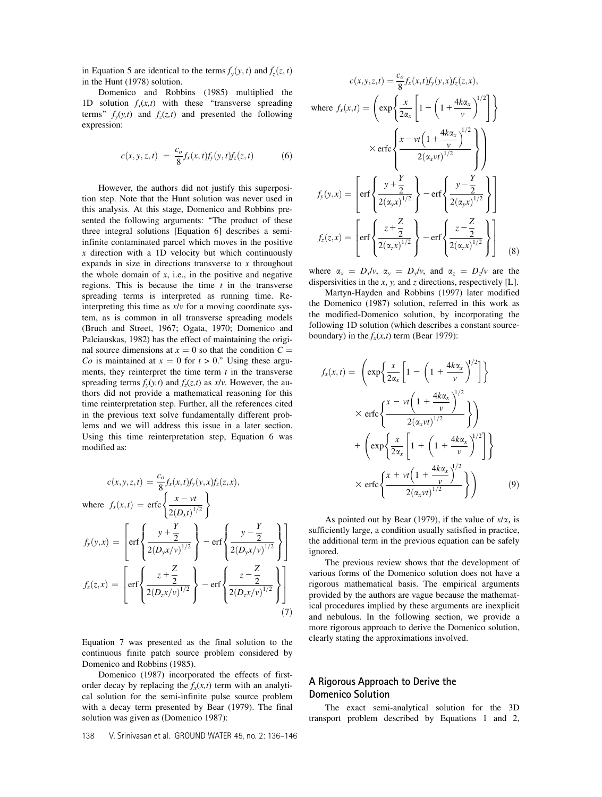in Equation 5 are identical to the terms  $\tilde{f}_v$  $\tilde{f}_y(y,t)$  and  $\tilde{f}_z$  $\int_z^z(z,t)$ in the Hunt (1978) solution.

Domenico and Robbins (1985) multiplied the 1D solution  $f_x(x,t)$  with these "transverse spreading terms"  $f_y(y,t)$  and  $f_z(z,t)$  and presented the following expression:

$$
c(x, y, z, t) = \frac{c_o}{8} f_x(x, t) f_y(y, t) f_z(z, t)
$$
 (6)

However, the authors did not justify this superposition step. Note that the Hunt solution was never used in this analysis. At this stage, Domenico and Robbins presented the following arguments: "The product of these three integral solutions [Equation 6] describes a semiinfinite contaminated parcel which moves in the positive  $x$  direction with a 1D velocity but which continuously expands in size in directions transverse to  $x$  throughout the whole domain of  $x$ , i.e., in the positive and negative regions. This is because the time  $t$  in the transverse spreading terms is interpreted as running time. Reinterpreting this time as  $x/v$  for a moving coordinate system, as is common in all transverse spreading models (Bruch and Street, 1967; Ogata, 1970; Domenico and Palciauskas, 1982) has the effect of maintaining the original source dimensions at  $x = 0$  so that the condition  $C =$ Co is maintained at  $x = 0$  for  $t > 0$ ." Using these arguments, they reinterpret the time term  $t$  in the transverse spreading terms  $f_y(y,t)$  and  $f_z(z,t)$  as  $x/v$ . However, the authors did not provide a mathematical reasoning for this time reinterpretation step. Further, all the references cited in the previous text solve fundamentally different problems and we will address this issue in a later section. Using this time reinterpretation step, Equation 6 was modified as:

$$
c(x, y, z, t) = \frac{c_o}{8} f_x(x, t) f_y(y, x) f_z(z, x),
$$
  
where  $f_x(x, t) = \text{erfc}\left\{\frac{x - vt}{2(D_x t)^{1/2}}\right\}$   

$$
f_y(y, x) = \left[\text{erf}\left\{\frac{y + \frac{Y}{2}}{2(D_y x / v)^{1/2}}\right\} - \text{erf}\left\{\frac{y - \frac{Y}{2}}{2(D_y x / v)^{1/2}}\right\}\right]
$$

$$
f_z(z, x) = \left[\text{erf}\left\{\frac{z + \frac{Z}{2}}{2(D_z x / v)^{1/2}}\right\} - \text{erf}\left\{\frac{z - \frac{Z}{2}}{2(D_z x / v)^{1/2}}\right\}\right]
$$
(7)

Equation 7 was presented as the final solution to the continuous finite patch source problem considered by Domenico and Robbins (1985).

Domenico (1987) incorporated the effects of firstorder decay by replacing the  $f_x(x,t)$  term with an analytical solution for the semi-infinite pulse source problem with a decay term presented by Bear (1979). The final solution was given as (Domenico 1987):

$$
c(x, y, z, t) = \frac{c_o}{8} f_x(x, t) f_y(y, x) f_z(z, x),
$$
  
\nwhere  $f_x(x, t) = \left(\exp\left\{\frac{x}{2\alpha_x} \left[1 - \left(1 + \frac{4k\alpha_x}{v}\right)^{1/2}\right]\right\}$   
\n
$$
\times \text{erfc}\left\{\frac{x - vt \left(1 + \frac{4k\alpha_x}{v}\right)^{1/2}}{2(\alpha_x vt)^{1/2}}\right\}\right)
$$
  
\n
$$
f_y(y, x) = \left[\text{erf}\left\{\frac{y + \frac{Y}{2}}{2(\alpha_y x)^{1/2}}\right\} - \text{erf}\left\{\frac{y - \frac{Y}{2}}{2(\alpha_y x)^{1/2}}\right\}\right]
$$
  
\n
$$
f_z(z, x) = \left[\text{erf}\left\{\frac{z + \frac{Z}{2}}{2(\alpha_z x)^{1/2}}\right\} - \text{erf}\left\{\frac{z - \frac{Z}{2}}{2(\alpha_z x)^{1/2}}\right\}\right]
$$
(8)

where  $\alpha_x = D_x/v$ ,  $\alpha_y = D_y/v$ , and  $\alpha_z = D_z/v$  are the dispersivities in the  $x$ ,  $y$ , and  $z$  directions, respectively [L].

Martyn-Hayden and Robbins (1997) later modified the Domenico (1987) solution, referred in this work as the modified-Domenico solution, by incorporating the following 1D solution (which describes a constant sourceboundary) in the  $f_x(x,t)$  term (Bear 1979):

$$
f_x(x,t) = \left(\exp\left\{\frac{x}{2\alpha_x} \left[1 - \left(1 + \frac{4k\alpha_x}{v}\right)^{1/2}\right]\right\}\right)
$$
  
 
$$
\times \operatorname{erfc}\left\{\frac{x - vt \left(1 + \frac{4k\alpha_x}{v}\right)^{1/2}}{2(\alpha_x vt)^{1/2}}\right\}\right)
$$
  
+ 
$$
\left(\exp\left\{\frac{x}{2\alpha_x} \left[1 + \left(1 + \frac{4k\alpha_x}{v}\right)^{1/2}\right]\right\}
$$
  
 
$$
\times \operatorname{erfc}\left\{\frac{x + vt \left(1 + \frac{4k\alpha_x}{v}\right)^{1/2}}{2(\alpha_x vt)^{1/2}}\right\}\right)
$$
(9)

As pointed out by Bear (1979), if the value of  $x/\alpha_x$  is sufficiently large, a condition usually satisfied in practice, the additional term in the previous equation can be safely ignored.

The previous review shows that the development of various forms of the Domenico solution does not have a rigorous mathematical basis. The empirical arguments provided by the authors are vague because the mathematical procedures implied by these arguments are inexplicit and nebulous. In the following section, we provide a more rigorous approach to derive the Domenico solution, clearly stating the approximations involved.

# A Rigorous Approach to Derive the Domenico Solution

The exact semi-analytical solution for the 3D transport problem described by Equations 1 and 2,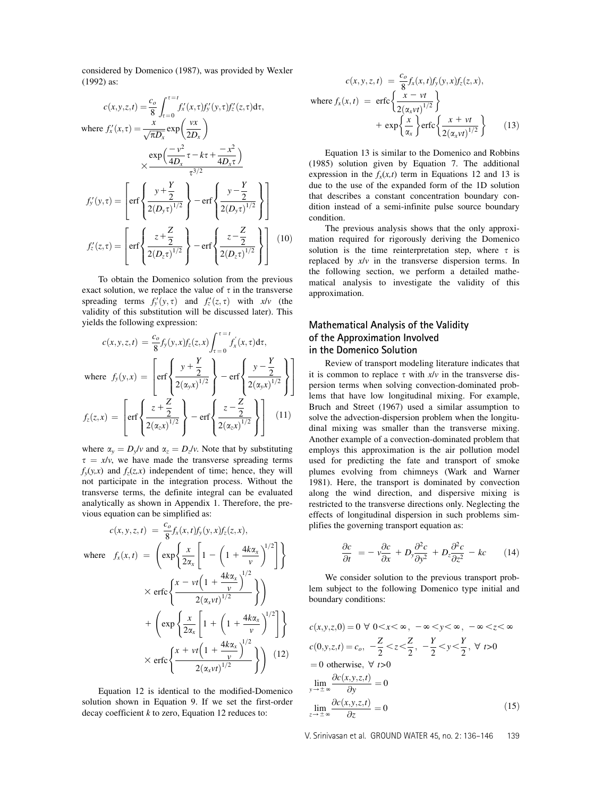considered by Domenico (1987), was provided by Wexler (1992) as:

$$
c(x, y, z, t) = \frac{c_o}{8} \int_{\tau=0}^{\tau=t} f'_x(x, \tau) f'_y(y, \tau) f'_z(z, \tau) d\tau,
$$
  
where  $f'_x(x, \tau) = \frac{x}{\sqrt{\pi D_x}} \exp\left(\frac{vx}{2D_x}\right)$   

$$
\times \frac{\exp\left(\frac{-v^2}{4D_x}\tau - k\tau + \frac{-x^2}{4D_x\tau}\right)}{\tau^{3/2}}
$$
  

$$
f'_y(y, \tau) = \left[\text{erf}\left\{\frac{y + \frac{Y}{2}}{2(D_y\tau)^{1/2}}\right\} - \text{erf}\left\{\frac{y - \frac{Y}{2}}{2(D_y\tau)^{1/2}}\right\}\right]
$$
  

$$
f'_z(z, \tau) = \left[\text{erf}\left\{\frac{z + \frac{Z}{2}}{2(D_z\tau)^{1/2}}\right\} - \text{erf}\left\{\frac{z - \frac{Z}{2}}{2(D_z\tau)^{1/2}}\right\}\right] \quad (10)
$$

To obtain the Domenico solution from the previous exact solution, we replace the value of  $\tau$  in the transverse spreading terms  $f'_y(y, \tau)$  and  $f'_z(z, \tau)$  with  $x/v$  (the validity of this substitution will be discussed later). This yields the following expression:

$$
c(x, y, z, t) = \frac{c_o}{8} f_y(y, x) f_z(z, x) \int_{\tau=0}^{\tau=t} f'_x(x, \tau) d\tau,
$$
  
where  $f_y(y, x) = \left[ erf \left\{ \frac{y + \frac{Y}{2}}{2(\alpha_y x)^{1/2}} \right\} - erf \left\{ \frac{y - \frac{Y}{2}}{2(\alpha_y x)^{1/2}} \right\} \right]$   

$$
f_z(z, x) = \left[ erf \left\{ \frac{z + \frac{Z}{2}}{2(\alpha_z x)^{1/2}} \right\} - erf \left\{ \frac{z - \frac{Z}{2}}{2(\alpha_z x)^{1/2}} \right\} \right] (11)
$$

where  $\alpha_y = D_y/v$  and  $\alpha_z = D_z/v$ . Note that by substituting  $\tau = x/v$ , we have made the transverse spreading terms  $f_y(y,x)$  and  $f_z(z,x)$  independent of time; hence, they will not participate in the integration process. Without the transverse terms, the definite integral can be evaluated analytically as shown in Appendix 1. Therefore, the previous equation can be simplified as:

$$
c(x, y, z, t) = \frac{c_o}{8} f_x(x, t) f_y(y, x) f_z(z, x),
$$
  
where  $f_x(x, t) = \left( \exp \left\{ \frac{x}{2\alpha_x} \left[ 1 - \left( 1 + \frac{4k\alpha_x}{v} \right)^{1/2} \right] \right\}$   

$$
\times \operatorname{erfc} \left\{ \frac{x - vt \left( 1 + \frac{4k\alpha_x}{v} \right)^{1/2}}{2(\alpha_x vt)^{1/2}} \right\} \right)
$$

$$
+ \left( \exp \left\{ \frac{x}{2\alpha_x} \left[ 1 + \left( 1 + \frac{4k\alpha_x}{v} \right)^{1/2} \right] \right\}
$$

$$
\times \operatorname{erfc} \left\{ \frac{x + vt \left( 1 + \frac{4k\alpha_x}{v} \right)^{1/2}}{2(\alpha_x vt)^{1/2}} \right\} \right)
$$
(12)

Equation 12 is identical to the modified-Domenico solution shown in Equation 9. If we set the first-order decay coefficient  $k$  to zero, Equation 12 reduces to:

$$
c(x, y, z, t) = \frac{c_o}{8} f_x(x, t) f_y(y, x) f_z(z, x),
$$
  
where  $f_x(x, t) = \text{erfc}\left\{\frac{x - vt}{2(\alpha_x vt)^{1/2}}\right\}$   

$$
+ \exp\left\{\frac{x}{\alpha_x}\right\} \text{erfc}\left\{\frac{x + vt}{2(\alpha_x vt)^{1/2}}\right\}
$$
(13)

Equation 13 is similar to the Domenico and Robbins (1985) solution given by Equation 7. The additional expression in the  $f_x(x,t)$  term in Equations 12 and 13 is due to the use of the expanded form of the 1D solution that describes a constant concentration boundary condition instead of a semi-infinite pulse source boundary condition.

The previous analysis shows that the only approximation required for rigorously deriving the Domenico solution is the time reinterpretation step, where  $\tau$  is replaced by x/v in the transverse dispersion terms. In the following section, we perform a detailed mathematical analysis to investigate the validity of this approximation.

# Mathematical Analysis of the Validity of the Approximation Involved in the Domenico Solution

Review of transport modeling literature indicates that it is common to replace  $\tau$  with  $x/v$  in the transverse dispersion terms when solving convection-dominated problems that have low longitudinal mixing. For example, Bruch and Street (1967) used a similar assumption to solve the advection-dispersion problem when the longitudinal mixing was smaller than the transverse mixing. Another example of a convection-dominated problem that employs this approximation is the air pollution model used for predicting the fate and transport of smoke plumes evolving from chimneys (Wark and Warner 1981). Here, the transport is dominated by convection along the wind direction, and dispersive mixing is restricted to the transverse directions only. Neglecting the effects of longitudinal dispersion in such problems simplifies the governing transport equation as:

$$
\frac{\partial c}{\partial t} = -\nu \frac{\partial c}{\partial x} + D_y \frac{\partial^2 c}{\partial y^2} + D_z \frac{\partial^2 c}{\partial z^2} - kc \qquad (14)
$$

We consider solution to the previous transport problem subject to the following Domenico type initial and boundary conditions:

$$
c(x, y, z, 0) = 0 \quad \forall \quad 0 < x < \infty \,, \quad -\infty < y < \infty \,, \quad -\infty < z < \infty
$$
\n
$$
c(0, y, z, t) = c_o, \quad -\frac{Z}{2} < z < \frac{Z}{2}, \quad -\frac{Y}{2} < y < \frac{Y}{2}, \quad \forall \quad t > 0
$$
\n
$$
= 0 \text{ otherwise, } \forall \quad t > 0
$$
\n
$$
\lim_{y \to \pm \infty} \frac{\partial c(x, y, z, t)}{\partial y} = 0
$$
\n
$$
\lim_{z \to \pm \infty} \frac{\partial c(x, y, z, t)}{\partial z} = 0 \tag{15}
$$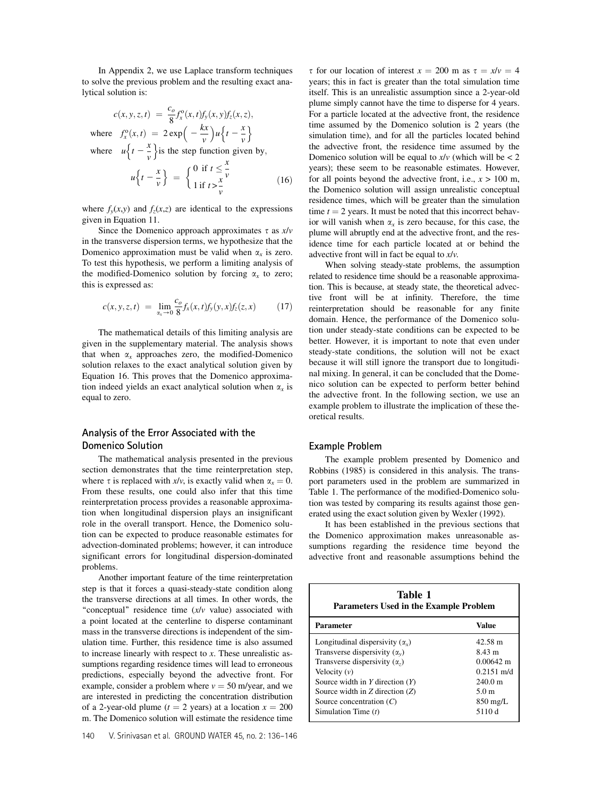In Appendix 2, we use Laplace transform techniques to solve the previous problem and the resulting exact analytical solution is:

$$
c(x, y, z, t) = \frac{c_o}{8} f_x^o(x, t) f_y(x, y) f_z(x, z),
$$
  
where 
$$
f_x^o(x, t) = 2 \exp\left(-\frac{kx}{v}\right) u \left\{t - \frac{x}{v}\right\}
$$
  
where 
$$
u \left\{t - \frac{x}{v}\right\} \text{is the step function given by,}
$$

$$
u \left\{t - \frac{x}{v}\right\} = \begin{cases} 0 & \text{if } t \le \frac{x}{v} \\ 1 & \text{if } t > \frac{x}{v} \end{cases}
$$
 (16)

where  $f_y(x,y)$  and  $f_z(x,z)$  are identical to the expressions given in Equation 11.

Since the Domenico approach approximates  $\tau$  as  $x/v$ in the transverse dispersion terms, we hypothesize that the Domenico approximation must be valid when  $\alpha_x$  is zero. To test this hypothesis, we perform a limiting analysis of the modified-Domenico solution by forcing  $\alpha_x$  to zero; this is expressed as:

$$
c(x, y, z, t) = \lim_{\alpha_x \to 0} \frac{c_o}{8} f_x(x, t) f_y(y, x) f_z(z, x) \tag{17}
$$

The mathematical details of this limiting analysis are given in the supplementary material. The analysis shows that when  $\alpha_x$  approaches zero, the modified-Domenico solution relaxes to the exact analytical solution given by Equation 16. This proves that the Domenico approximation indeed yields an exact analytical solution when  $\alpha_x$  is equal to zero.

# Analysis of the Error Associated with the Domenico Solution

The mathematical analysis presented in the previous section demonstrates that the time reinterpretation step, where  $\tau$  is replaced with  $x/v$ , is exactly valid when  $\alpha_x = 0$ . From these results, one could also infer that this time reinterpretation process provides a reasonable approximation when longitudinal dispersion plays an insignificant role in the overall transport. Hence, the Domenico solution can be expected to produce reasonable estimates for advection-dominated problems; however, it can introduce significant errors for longitudinal dispersion-dominated problems.

Another important feature of the time reinterpretation step is that it forces a quasi-steady-state condition along the transverse directions at all times. In other words, the "conceptual" residence time  $(x/v$  value) associated with a point located at the centerline to disperse contaminant mass in the transverse directions is independent of the simulation time. Further, this residence time is also assumed to increase linearly with respect to  $x$ . These unrealistic assumptions regarding residence times will lead to erroneous predictions, especially beyond the advective front. For example, consider a problem where  $v = 50$  m/year, and we are interested in predicting the concentration distribution of a 2-year-old plume ( $t = 2$  years) at a location  $x = 200$ m. The Domenico solution will estimate the residence time

 $\tau$  for our location of interest  $x = 200$  m as  $\tau = x/v = 4$ years; this in fact is greater than the total simulation time itself. This is an unrealistic assumption since a 2-year-old plume simply cannot have the time to disperse for 4 years. For a particle located at the advective front, the residence time assumed by the Domenico solution is 2 years (the simulation time), and for all the particles located behind the advective front, the residence time assumed by the Domenico solution will be equal to  $x/v$  (which will be  $< 2$ ) years); these seem to be reasonable estimates. However, for all points beyond the advective front, i.e.,  $x > 100$  m, the Domenico solution will assign unrealistic conceptual residence times, which will be greater than the simulation time  $t = 2$  years. It must be noted that this incorrect behavior will vanish when  $\alpha_x$  is zero because, for this case, the plume will abruptly end at the advective front, and the residence time for each particle located at or behind the advective front will in fact be equal to  $x/v$ .

When solving steady-state problems, the assumption related to residence time should be a reasonable approximation. This is because, at steady state, the theoretical advective front will be at infinity. Therefore, the time reinterpretation should be reasonable for any finite domain. Hence, the performance of the Domenico solution under steady-state conditions can be expected to be better. However, it is important to note that even under steady-state conditions, the solution will not be exact because it will still ignore the transport due to longitudinal mixing. In general, it can be concluded that the Domenico solution can be expected to perform better behind the advective front. In the following section, we use an example problem to illustrate the implication of these theoretical results.

## Example Problem

The example problem presented by Domenico and Robbins (1985) is considered in this analysis. The transport parameters used in the problem are summarized in Table 1. The performance of the modified-Domenico solution was tested by comparing its results against those generated using the exact solution given by Wexler (1992).

It has been established in the previous sections that the Domenico approximation makes unreasonable assumptions regarding the residence time beyond the advective front and reasonable assumptions behind the

| Table 1<br>Parameters Used in the Example Problem                                                                                                                                                                                                    |                                                                                                                         |
|------------------------------------------------------------------------------------------------------------------------------------------------------------------------------------------------------------------------------------------------------|-------------------------------------------------------------------------------------------------------------------------|
| Parameter                                                                                                                                                                                                                                            | Value                                                                                                                   |
| Longitudinal dispersivity $(\alpha_x)$<br>Transverse dispersivity $(\alpha_v)$<br>Transverse dispersivity $(\alpha_z)$<br>Velocity $(v)$<br>Source width in $Y$ direction $(Y)$<br>Source width in $Z$ direction $(Z)$<br>Source concentration $(C)$ | 42.58 m<br>8.43 m<br>$0.00642 \text{ m}$<br>$0.2151$ m/d<br>$240.0 \text{ m}$<br>5.0 <sub>m</sub><br>$850 \text{ mg/L}$ |
| Simulation Time $(t)$                                                                                                                                                                                                                                | 5110 d                                                                                                                  |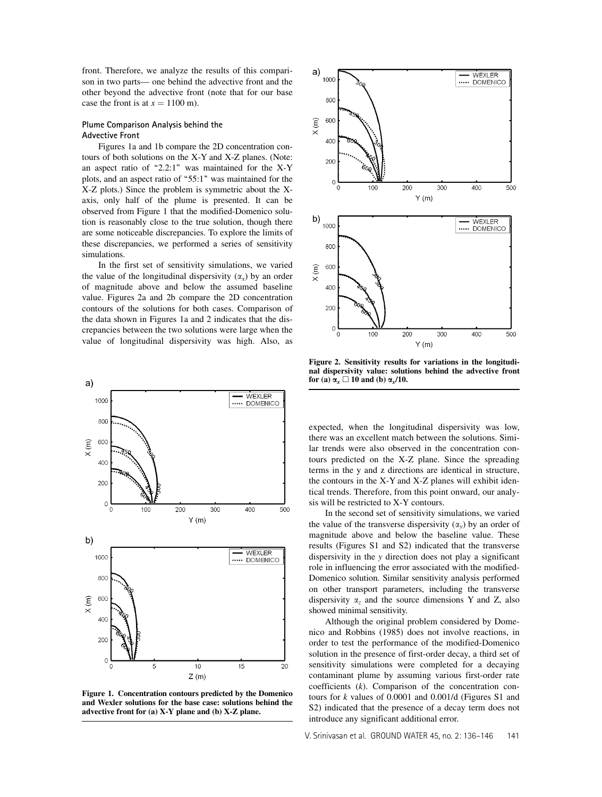front. Therefore, we analyze the results of this comparison in two parts— one behind the advective front and the other beyond the advective front (note that for our base case the front is at  $x = 1100$  m).

# Plume Comparison Analysis behind the Advective Front

Figures 1a and 1b compare the 2D concentration contours of both solutions on the X-Y and X-Z planes. (Note: an aspect ratio of "2.2:1" was maintained for the X-Y plots, and an aspect ratio of "55:1" was maintained for the X-Z plots.) Since the problem is symmetric about the Xaxis, only half of the plume is presented. It can be observed from Figure 1 that the modified-Domenico solution is reasonably close to the true solution, though there are some noticeable discrepancies. To explore the limits of these discrepancies, we performed a series of sensitivity simulations.

In the first set of sensitivity simulations, we varied the value of the longitudinal dispersivity  $(\alpha_x)$  by an order of magnitude above and below the assumed baseline value. Figures 2a and 2b compare the 2D concentration contours of the solutions for both cases. Comparison of the data shown in Figures 1a and 2 indicates that the discrepancies between the two solutions were large when the value of longitudinal dispersivity was high. Also, as



Figure 1. Concentration contours predicted by the Domenico and Wexler solutions for the base case: solutions behind the advective front for (a) X-Y plane and (b) X-Z plane.



Figure 2. Sensitivity results for variations in the longitudinal dispersivity value: solutions behind the advective front for (a)  $\alpha_x \Box$  10 and (b)  $\alpha_x/10$ .

expected, when the longitudinal dispersivity was low, there was an excellent match between the solutions. Similar trends were also observed in the concentration contours predicted on the X-Z plane. Since the spreading terms in the y and z directions are identical in structure, the contours in the X-Y and X-Z planes will exhibit identical trends. Therefore, from this point onward, our analysis will be restricted to X-Y contours.

In the second set of sensitivity simulations, we varied the value of the transverse dispersivity  $(\alpha_y)$  by an order of magnitude above and below the baseline value. These results (Figures S1 and S2) indicated that the transverse dispersivity in the y direction does not play a significant role in influencing the error associated with the modified-Domenico solution. Similar sensitivity analysis performed on other transport parameters, including the transverse dispersivity  $\alpha_z$  and the source dimensions Y and Z, also showed minimal sensitivity.

Although the original problem considered by Domenico and Robbins (1985) does not involve reactions, in order to test the performance of the modified-Domenico solution in the presence of first-order decay, a third set of sensitivity simulations were completed for a decaying contaminant plume by assuming various first-order rate coefficients (k). Comparison of the concentration contours for  $k$  values of 0.0001 and 0.001/d (Figures S1 and S2) indicated that the presence of a decay term does not introduce any significant additional error.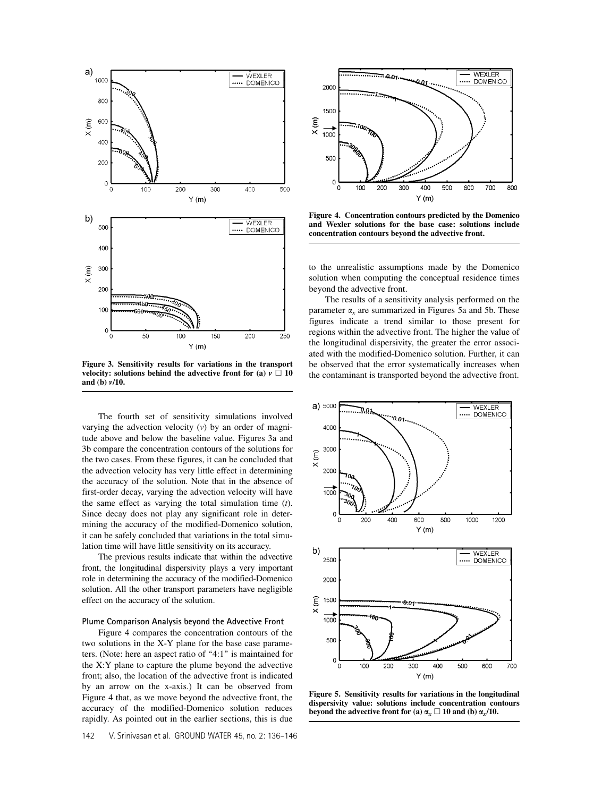

Figure 3. Sensitivity results for variations in the transport velocity: solutions behind the advective front for (a)  $v \Box 10$ and (b) v/10.

The fourth set of sensitivity simulations involved varying the advection velocity  $(v)$  by an order of magnitude above and below the baseline value. Figures 3a and 3b compare the concentration contours of the solutions for the two cases. From these figures, it can be concluded that the advection velocity has very little effect in determining the accuracy of the solution. Note that in the absence of first-order decay, varying the advection velocity will have the same effect as varying the total simulation time  $(t)$ . Since decay does not play any significant role in determining the accuracy of the modified-Domenico solution, it can be safely concluded that variations in the total simulation time will have little sensitivity on its accuracy.

The previous results indicate that within the advective front, the longitudinal dispersivity plays a very important role in determining the accuracy of the modified-Domenico solution. All the other transport parameters have negligible effect on the accuracy of the solution.

#### Plume Comparison Analysis beyond the Advective Front

Figure 4 compares the concentration contours of the two solutions in the X-Y plane for the base case parameters. (Note: here an aspect ratio of "4:1" is maintained for the X:Y plane to capture the plume beyond the advective front; also, the location of the advective front is indicated by an arrow on the x-axis.) It can be observed from Figure 4 that, as we move beyond the advective front, the accuracy of the modified-Domenico solution reduces rapidly. As pointed out in the earlier sections, this is due



Figure 4. Concentration contours predicted by the Domenico and Wexler solutions for the base case: solutions include concentration contours beyond the advective front.

to the unrealistic assumptions made by the Domenico solution when computing the conceptual residence times beyond the advective front.

The results of a sensitivity analysis performed on the parameter  $\alpha_x$  are summarized in Figures 5a and 5b. These figures indicate a trend similar to those present for regions within the advective front. The higher the value of the longitudinal dispersivity, the greater the error associated with the modified-Domenico solution. Further, it can be observed that the error systematically increases when the contaminant is transported beyond the advective front.



Figure 5. Sensitivity results for variations in the longitudinal dispersivity value: solutions include concentration contours beyond the advective front for (a)  $\alpha_x \Box$  10 and (b)  $\alpha_x/10$ .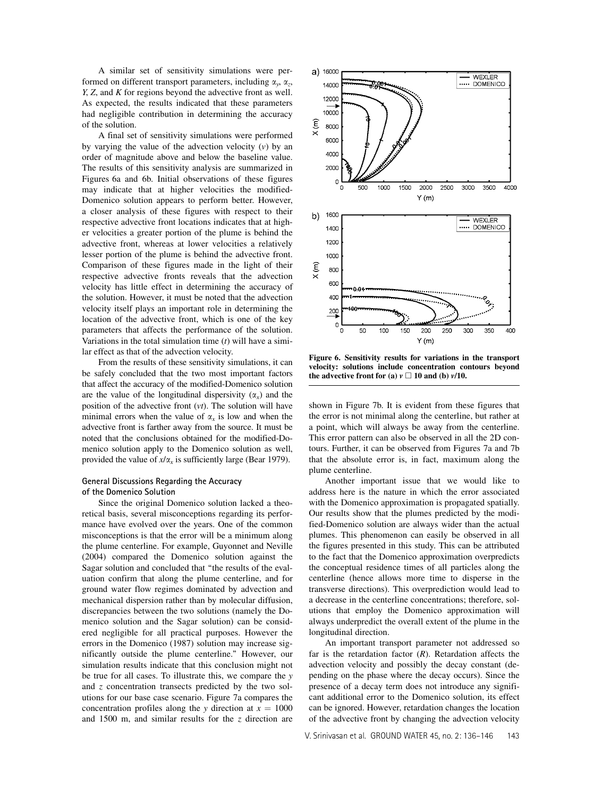A similar set of sensitivity simulations were performed on different transport parameters, including  $\alpha_{y}$ ,  $\alpha_{z}$ , Y, Z, and K for regions beyond the advective front as well. As expected, the results indicated that these parameters had negligible contribution in determining the accuracy of the solution.

A final set of sensitivity simulations were performed by varying the value of the advection velocity  $(v)$  by an order of magnitude above and below the baseline value. The results of this sensitivity analysis are summarized in Figures 6a and 6b. Initial observations of these figures may indicate that at higher velocities the modified-Domenico solution appears to perform better. However, a closer analysis of these figures with respect to their respective advective front locations indicates that at higher velocities a greater portion of the plume is behind the advective front, whereas at lower velocities a relatively lesser portion of the plume is behind the advective front. Comparison of these figures made in the light of their respective advective fronts reveals that the advection velocity has little effect in determining the accuracy of the solution. However, it must be noted that the advection velocity itself plays an important role in determining the location of the advective front, which is one of the key parameters that affects the performance of the solution. Variations in the total simulation time  $(t)$  will have a similar effect as that of the advection velocity.

From the results of these sensitivity simulations, it can be safely concluded that the two most important factors that affect the accuracy of the modified-Domenico solution are the value of the longitudinal dispersivity  $(\alpha_x)$  and the position of the advective front  $(vt)$ . The solution will have minimal errors when the value of  $\alpha_x$  is low and when the advective front is farther away from the source. It must be noted that the conclusions obtained for the modified-Domenico solution apply to the Domenico solution as well, provided the value of  $x/\alpha_x$  is sufficiently large (Bear 1979).

# General Discussions Regarding the Accuracy of the Domenico Solution

Since the original Domenico solution lacked a theoretical basis, several misconceptions regarding its performance have evolved over the years. One of the common misconceptions is that the error will be a minimum along the plume centerline. For example, Guyonnet and Neville (2004) compared the Domenico solution against the Sagar solution and concluded that ''the results of the evaluation confirm that along the plume centerline, and for ground water flow regimes dominated by advection and mechanical dispersion rather than by molecular diffusion, discrepancies between the two solutions (namely the Domenico solution and the Sagar solution) can be considered negligible for all practical purposes. However the errors in the Domenico (1987) solution may increase significantly outside the plume centerline.'' However, our simulation results indicate that this conclusion might not be true for all cases. To illustrate this, we compare the y and z concentration transects predicted by the two solutions for our base case scenario. Figure 7a compares the concentration profiles along the y direction at  $x = 1000$ and 1500 m, and similar results for the z direction are



Figure 6. Sensitivity results for variations in the transport velocity: solutions include concentration contours beyond the advective front for (a)  $v \Box$  10 and (b)  $v/10$ .

shown in Figure 7b. It is evident from these figures that the error is not minimal along the centerline, but rather at a point, which will always be away from the centerline. This error pattern can also be observed in all the 2D contours. Further, it can be observed from Figures 7a and 7b that the absolute error is, in fact, maximum along the plume centerline.

Another important issue that we would like to address here is the nature in which the error associated with the Domenico approximation is propagated spatially. Our results show that the plumes predicted by the modified-Domenico solution are always wider than the actual plumes. This phenomenon can easily be observed in all the figures presented in this study. This can be attributed to the fact that the Domenico approximation overpredicts the conceptual residence times of all particles along the centerline (hence allows more time to disperse in the transverse directions). This overprediction would lead to a decrease in the centerline concentrations; therefore, solutions that employ the Domenico approximation will always underpredict the overall extent of the plume in the longitudinal direction.

An important transport parameter not addressed so far is the retardation factor  $(R)$ . Retardation affects the advection velocity and possibly the decay constant (depending on the phase where the decay occurs). Since the presence of a decay term does not introduce any significant additional error to the Domenico solution, its effect can be ignored. However, retardation changes the location of the advective front by changing the advection velocity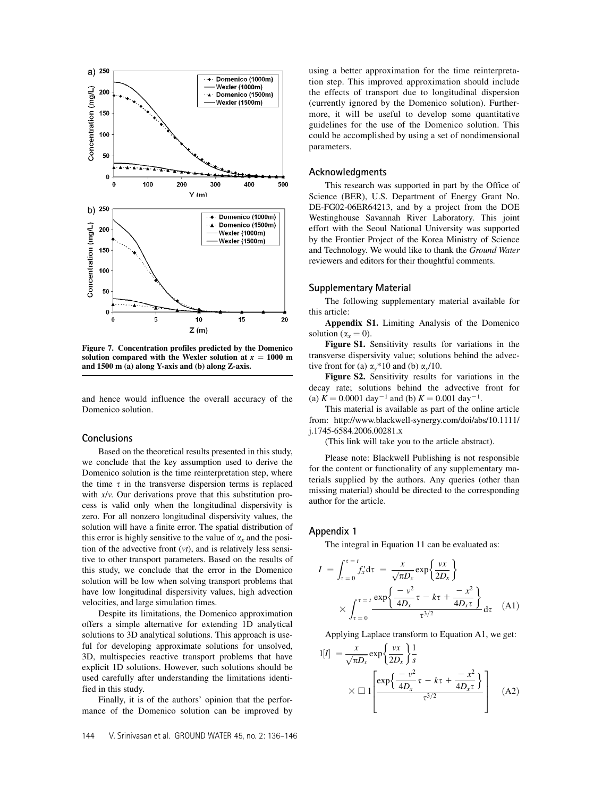

Figure 7. Concentration profiles predicted by the Domenico solution compared with the Wexler solution at  $x = 1000$  m and 1500 m (a) along Y-axis and (b) along Z-axis.

and hence would influence the overall accuracy of the Domenico solution.

#### **Conclusions**

Based on the theoretical results presented in this study, we conclude that the key assumption used to derive the Domenico solution is the time reinterpretation step, where the time  $\tau$  in the transverse dispersion terms is replaced with  $x/v$ . Our derivations prove that this substitution process is valid only when the longitudinal dispersivity is zero. For all nonzero longitudinal dispersivity values, the solution will have a finite error. The spatial distribution of this error is highly sensitive to the value of  $\alpha_x$  and the position of the advective front  $(vt)$ , and is relatively less sensitive to other transport parameters. Based on the results of this study, we conclude that the error in the Domenico solution will be low when solving transport problems that have low longitudinal dispersivity values, high advection velocities, and large simulation times.

Despite its limitations, the Domenico approximation offers a simple alternative for extending 1D analytical solutions to 3D analytical solutions. This approach is useful for developing approximate solutions for unsolved, 3D, multispecies reactive transport problems that have explicit 1D solutions. However, such solutions should be used carefully after understanding the limitations identified in this study.

Finally, it is of the authors' opinion that the performance of the Domenico solution can be improved by

## Acknowledgments

This research was supported in part by the Office of Science (BER), U.S. Department of Energy Grant No. DE-FG02-06ER64213, and by a project from the DOE Westinghouse Savannah River Laboratory. This joint effort with the Seoul National University was supported by the Frontier Project of the Korea Ministry of Science and Technology. We would like to thank the Ground Water reviewers and editors for their thoughtful comments.

#### Supplementary Material

The following supplementary material available for this article:

Appendix S1. Limiting Analysis of the Domenico solution ( $\alpha_x = 0$ ).

Figure S1. Sensitivity results for variations in the transverse dispersivity value; solutions behind the advective front for (a)  $\alpha_y$ \*10 and (b)  $\alpha_y$ /10.

Figure S2. Sensitivity results for variations in the decay rate; solutions behind the advective front for (a)  $K = 0.0001 \text{ day}^{-1}$  and (b)  $K = 0.001 \text{ day}^{-1}$ .

This material is available as part of the online article from: http://www.blackwell-synergy.com/doi/abs/10.1111/ j.1745-6584.2006.00281.x

(This link will take you to the article abstract).

Please note: Blackwell Publishing is not responsible for the content or functionality of any supplementary materials supplied by the authors. Any queries (other than missing material) should be directed to the corresponding author for the article.

#### Appendix 1

The integral in Equation 11 can be evaluated as:

$$
I = \int_{\tau=0}^{\tau=t} f'_x d\tau = \frac{x}{\sqrt{\pi D_x}} \exp\left\{\frac{\nu x}{2D_x}\right\}
$$

$$
\times \int_{\tau=0}^{\tau=t} \frac{\exp\left\{\frac{-\nu^2}{4D_x}\tau - k\tau + \frac{-x^2}{4D_x\tau}\right\}}{\tau^{3/2}} d\tau \quad (A1)
$$

Applying Laplace transform to Equation A1, we get:

$$
l[I] = \frac{x}{\sqrt{\pi D_x}} \exp\left\{\frac{vx}{2D_x}\right\} \frac{1}{s}
$$

$$
\times \Box \left[ \frac{\exp\left\{\frac{-v^2}{4D_x}\tau - k\tau + \frac{-x^2}{4D_x\tau}\right\}}{\tau^{3/2}} \right]
$$
(A2)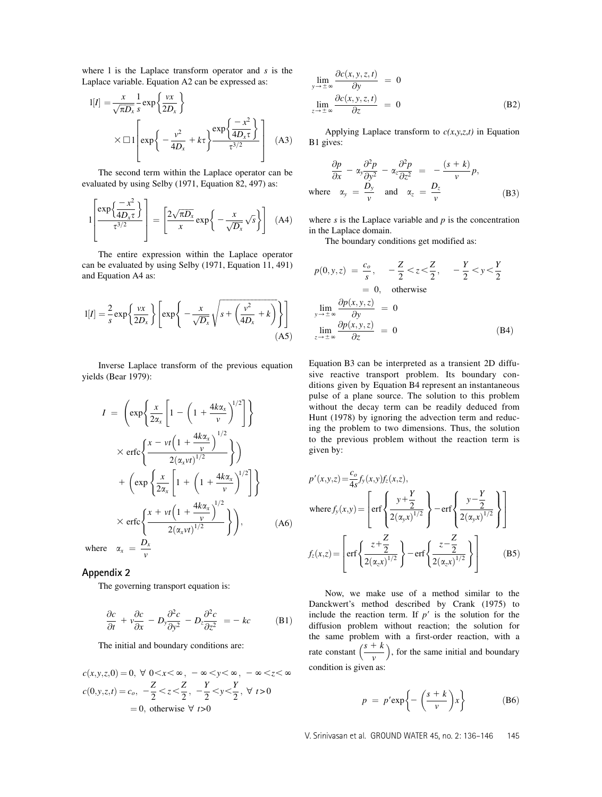where  $l$  is the Laplace transform operator and  $s$  is the Laplace variable. Equation A2 can be expressed as:

$$
1[I] = \frac{x}{\sqrt{\pi D_x}} \frac{1}{s} \exp\left\{\frac{vx}{2D_x}\right\}
$$

$$
\times \Box 1 \left[ \exp\left\{-\frac{v^2}{4D_x} + k\tau\right\} \frac{\exp\left\{\frac{-x^2}{4D_x\tau}\right\}}{\tau^{3/2}} \right] \quad (A3)
$$

The second term within the Laplace operator can be evaluated by using Selby (1971, Equation 82, 497) as:

$$
1\left[\frac{\exp\left\{\frac{-x^2}{4D_x\tau}\right\}}{\tau^{3/2}}\right] = \left[\frac{2\sqrt{\pi D_x}}{x}\exp\left\{-\frac{x}{\sqrt{D_x}}\sqrt{s}\right\}\right]
$$
 (A4)

The entire expression within the Laplace operator can be evaluated by using Selby (1971, Equation 11, 491) and Equation A4 as:

$$
l[I] = \frac{2}{s} \exp\left\{\frac{\nu x}{2D_x}\right\} \left[ \exp\left\{-\frac{x}{\sqrt{D_x}}\sqrt{s + \left(\frac{\nu^2}{4D_x} + k\right)}\right\} \right]
$$
(A5)

Inverse Laplace transform of the previous equation yields (Bear 1979):

$$
I = \left( \exp \left\{ \frac{x}{2\alpha_x} \left[ 1 - \left( 1 + \frac{4k\alpha_x}{v} \right)^{1/2} \right] \right\} \right)
$$
  
 
$$
\times \operatorname{erfc} \left\{ \frac{x - vt \left( 1 + \frac{4k\alpha_x}{v} \right)^{1/2}}{2(\alpha_x vt)^{1/2}} \right\} \right)
$$
  
+ 
$$
\left( \exp \left\{ \frac{x}{2\alpha_x} \left[ 1 + \left( 1 + \frac{4k\alpha_x}{v} \right)^{1/2} \right] \right\}
$$
  

$$
\times \operatorname{erfc} \left\{ \frac{x + vt \left( 1 + \frac{4k\alpha_x}{v} \right)^{1/2}}{2(\alpha_x vt)^{1/2}} \right\} \right), \qquad (A6)
$$

where  $\alpha_x = \frac{D_x}{v_x}$ 

## Appendix 2

The governing transport equation is:

v

$$
\frac{\partial c}{\partial t} + v \frac{\partial c}{\partial x} - D_y \frac{\partial^2 c}{\partial y^2} - D_z \frac{\partial^2 c}{\partial z^2} = -kc
$$
 (B1)

The initial and boundary conditions are:

$$
c(x, y, z, 0) = 0, \forall 0 < x < \infty, -\infty < y < \infty, -\infty < z < \infty
$$
  

$$
c(0, y, z, t) = c_o, -\frac{Z}{2} < z < \frac{Z}{2}, -\frac{Y}{2} < y < \frac{Y}{2}, \forall t > 0
$$
  
= 0, otherwise  $\forall t > 0$ 

$$
\lim_{y \to \pm \infty} \frac{\partial c(x, y, z, t)}{\partial y} = 0
$$
\n
$$
\lim_{z \to \pm \infty} \frac{\partial c(x, y, z, t)}{\partial z} = 0
$$
\n(B2)

Applying Laplace transform to  $c(x,y,z,t)$  in Equation B1 gives:

$$
\frac{\partial p}{\partial x} - \alpha_y \frac{\partial^2 p}{\partial y^2} - \alpha_z \frac{\partial^2 p}{\partial z^2} = -\frac{(s+k)}{v} p,
$$
\nwhere  $\alpha_y = \frac{D_y}{v}$  and  $\alpha_z = \frac{D_z}{v}$  (B3)

where  $s$  is the Laplace variable and  $p$  is the concentration in the Laplace domain.

The boundary conditions get modified as:

$$
p(0, y, z) = \frac{c_o}{s}, \quad -\frac{Z}{2} < z < \frac{Z}{2}, \quad -\frac{Y}{2} < y < \frac{Y}{2}
$$
\n
$$
= 0, \quad \text{otherwise}
$$
\n
$$
\lim_{y \to \pm \infty} \frac{\partial p(x, y, z)}{\partial y} = 0
$$
\n
$$
\lim_{z \to \pm \infty} \frac{\partial p(x, y, z)}{\partial z} = 0
$$
\n(B4)

Equation B3 can be interpreted as a transient 2D diffusive reactive transport problem. Its boundary conditions given by Equation B4 represent an instantaneous pulse of a plane source. The solution to this problem without the decay term can be readily deduced from Hunt (1978) by ignoring the advection term and reducing the problem to two dimensions. Thus, the solution to the previous problem without the reaction term is given by:

$$
p'(x,y,z) = \frac{c_o}{4s} f_y(x,y) f_z(x,z),
$$
  
where  $f_y(x,y) = \left[ erf \left\{ \frac{y + \frac{Y}{2}}{2(\alpha_y x)^{1/2}} \right\} - erf \left\{ \frac{y - \frac{Y}{2}}{2(\alpha_y x)^{1/2}} \right\} \right]$   

$$
f_z(x,z) = \left[ erf \left\{ \frac{z + \frac{Z}{2}}{2(\alpha_z x)^{1/2}} \right\} - erf \left\{ \frac{z - \frac{Z}{2}}{2(\alpha_z x)^{1/2}} \right\} \right]
$$
(B5)

Now, we make use of a method similar to the Danckwert's method described by Crank (1975) to include the reaction term. If  $p'$  is the solution for the diffusion problem without reaction; the solution for the same problem with a first-order reaction, with a rate constant  $\left(\frac{s+k}{v}\right)$ ), for the same initial and boundary condition is given as:

$$
p = p' \exp\left\{-\left(\frac{s+k}{v}\right)x\right\} \tag{B6}
$$